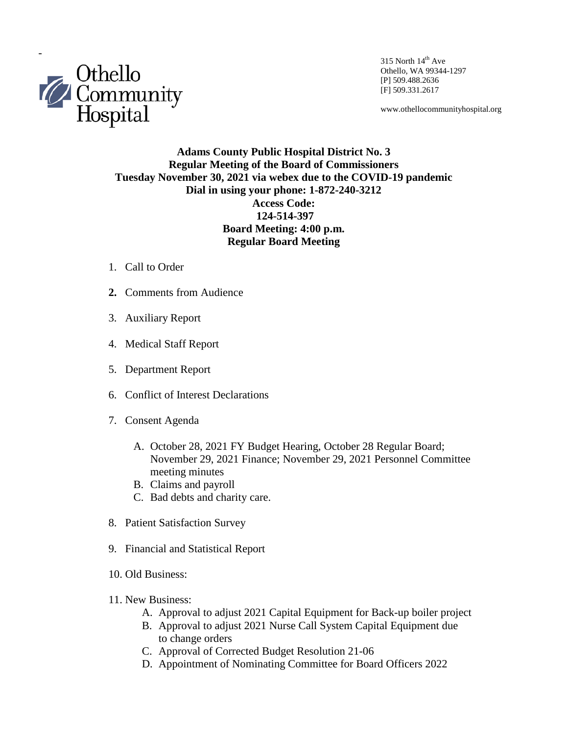

Othello, WA 99344-1297 [P] 509.488.2636 [F] 509.331.2617

www.othellocommunityhospital.org

## **Adams County Public Hospital District No. 3 Regular Meeting of the Board of Commissioners Tuesday November 30, 2021 via webex due to the COVID-19 pandemic Dial in using your phone: 1-872-240-3212 Access Code: 124-514-397 Board Meeting: 4:00 p.m. Regular Board Meeting**

- 1. Call to Order
- **2.** Comments from Audience
- 3. Auxiliary Report
- 4. Medical Staff Report
- 5. Department Report
- 6. Conflict of Interest Declarations
- 7. Consent Agenda
	- A. October 28, 2021 FY Budget Hearing, October 28 Regular Board; November 29, 2021 Finance; November 29, 2021 Personnel Committee meeting minutes
	- B. Claims and payroll
	- C. Bad debts and charity care.
- 8. Patient Satisfaction Survey
- 9. Financial and Statistical Report
- 10. Old Business:
- 11. New Business:
	- A. Approval to adjust 2021 Capital Equipment for Back-up boiler project
	- B. Approval to adjust 2021 Nurse Call System Capital Equipment due to change orders
	- C. Approval of Corrected Budget Resolution 21-06
	- D. Appointment of Nominating Committee for Board Officers 2022